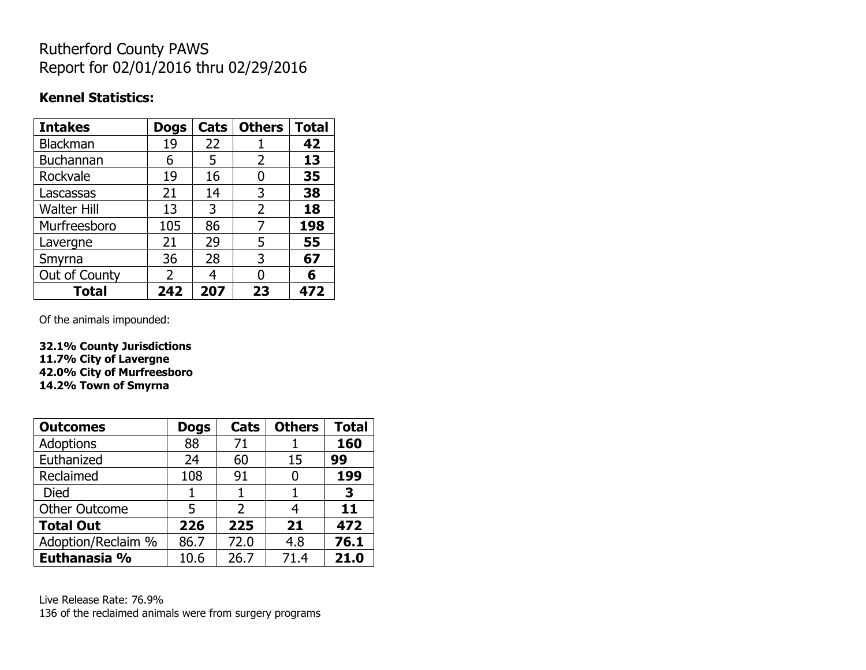## Rutherford County PAWS Report for 02/01/2016 thru 02/29/2016

#### **Kennel Statistics:**

| <b>Intakes</b>     | <b>Dogs</b>    | Cats | <b>Others</b>  | <b>Total</b> |
|--------------------|----------------|------|----------------|--------------|
| Blackman           | 19             | 22   |                | 42           |
| <b>Buchannan</b>   | 6              | 5    | 2              | 13           |
| Rockvale           | 19             | 16   | 0              | 35           |
| Lascassas          | 21             | 14   | 3              | 38           |
| <b>Walter Hill</b> | 13             | 3    | $\overline{2}$ | 18           |
| Murfreesboro       | 105            | 86   | 7              | 198          |
| Lavergne           | 21             | 29   | 5              | 55           |
| Smyrna             | 36             | 28   | 3              | 67           |
| Out of County      | $\overline{2}$ | 4    | N              | 6            |
| <b>Total</b>       | 242            | 207  | 23             | 472          |

Of the animals impounded:

**32.1% County Jurisdictions 11.7% City of Lavergne 42.0% City of Murfreesboro 14.2% Town of Smyrna**

| <b>Outcomes</b>      | <b>Dogs</b> | <b>Cats</b>   | <b>Others</b> | <b>Total</b> |
|----------------------|-------------|---------------|---------------|--------------|
| <b>Adoptions</b>     | 88          | 71            |               | 160          |
| Euthanized           | 24          | 60            | 15            | 99           |
| Reclaimed            | 108         | 91            | O             | 199          |
| <b>Died</b>          |             |               |               | 3            |
| <b>Other Outcome</b> | 5           | $\mathcal{P}$ |               | 11           |
| <b>Total Out</b>     | 226         | 225           | 21            | 472          |
| Adoption/Reclaim %   | 86.7        | 72.0          | 4.8           | 76.1         |
| Euthanasia %         | 10.6        | 26.7          | 71.4          | 21.0         |

Live Release Rate: 76.9% 136 of the reclaimed animals were from surgery programs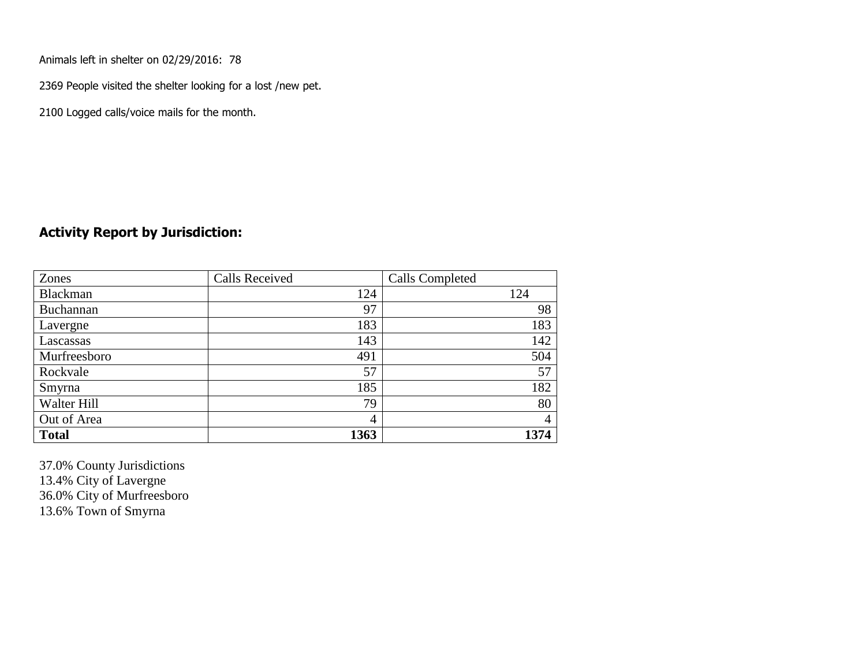Animals left in shelter on 02/29/2016: 78

2369 People visited the shelter looking for a lost /new pet.

2100 Logged calls/voice mails for the month.

#### **Activity Report by Jurisdiction:**

| Zones           | <b>Calls Received</b> | Calls Completed |
|-----------------|-----------------------|-----------------|
| <b>Blackman</b> | 124                   | 124             |
| Buchannan       | 97                    | 98              |
| Lavergne        | 183                   | 183             |
| Lascassas       | 143                   | 142             |
| Murfreesboro    | 491                   | 504             |
| Rockvale        | 57                    | 57              |
| Smyrna          | 185                   | 182             |
| Walter Hill     | 79                    | 80              |
| Out of Area     | 4                     | $\overline{4}$  |
| <b>Total</b>    | 1363                  | 1374            |

37.0% County Jurisdictions 13.4% City of Lavergne 36.0% City of Murfreesboro 13.6% Town of Smyrna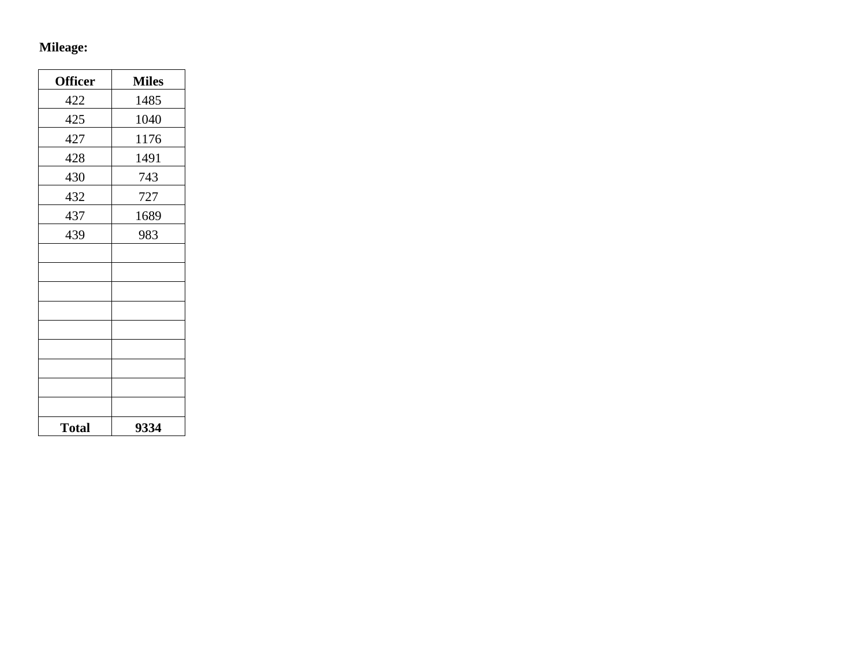# **Mileage:**

| <b>Officer</b> | <b>Miles</b> |
|----------------|--------------|
| 422            | 1485         |
| 425            | 1040         |
| 427            | 1176         |
| 428            | 1491         |
| 430            | 743          |
| 432            | 727          |
| 437            | 1689         |
| 439            | 983          |
|                |              |
|                |              |
|                |              |
|                |              |
|                |              |
|                |              |
|                |              |
|                |              |
|                |              |
| <b>Total</b>   | 9334         |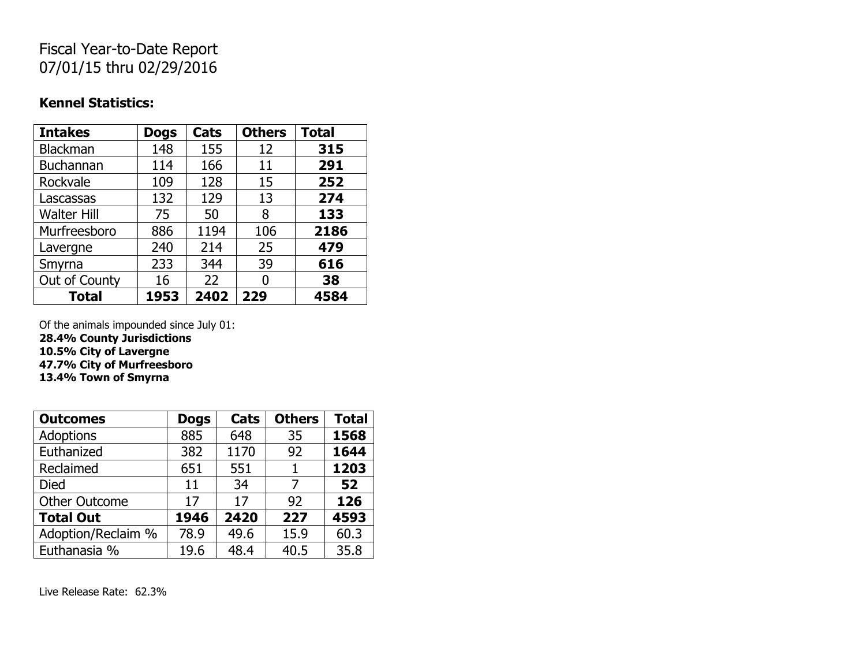## Fiscal Year-to-Date Report 07/01/15 thru 02/29/2016

#### **Kennel Statistics:**

| <b>Intakes</b>     | <b>Dogs</b> | Cats | <b>Others</b> | <b>Total</b> |
|--------------------|-------------|------|---------------|--------------|
| <b>Blackman</b>    | 148         | 155  | 12            | 315          |
| <b>Buchannan</b>   | 114         | 166  | 11            | 291          |
| Rockvale           | 109         | 128  | 15            | 252          |
| Lascassas          | 132         | 129  | 13            | 274          |
| <b>Walter Hill</b> | 75          | 50   | 8             | 133          |
| Murfreesboro       | 886         | 1194 | 106           | 2186         |
| Lavergne           | 240         | 214  | 25            | 479          |
| Smyrna             | 233         | 344  | 39            | 616          |
| Out of County      | 16          | 22   |               | 38           |
| <b>Total</b>       | 1953        | 2402 | 229           | 4584         |

Of the animals impounded since July 01:

**28.4% County Jurisdictions**

**10.5% City of Lavergne**

**47.7% City of Murfreesboro**

**13.4% Town of Smyrna**

| <b>Outcomes</b>      | <b>Dogs</b> | Cats | <b>Others</b> | <b>Total</b> |
|----------------------|-------------|------|---------------|--------------|
| Adoptions            | 885         | 648  | 35            | 1568         |
| Euthanized           | 382         | 1170 | 92            | 1644         |
| Reclaimed            | 651         | 551  |               | 1203         |
| <b>Died</b>          | 11          | 34   | 7             | 52           |
| <b>Other Outcome</b> | 17          | 17   | 92            | 126          |
| <b>Total Out</b>     | 1946        | 2420 | 227           | 4593         |
| Adoption/Reclaim %   | 78.9        | 49.6 | 15.9          | 60.3         |
| Euthanasia %         | 19.6        | 48.4 | 40.5          | 35.8         |

Live Release Rate: 62.3%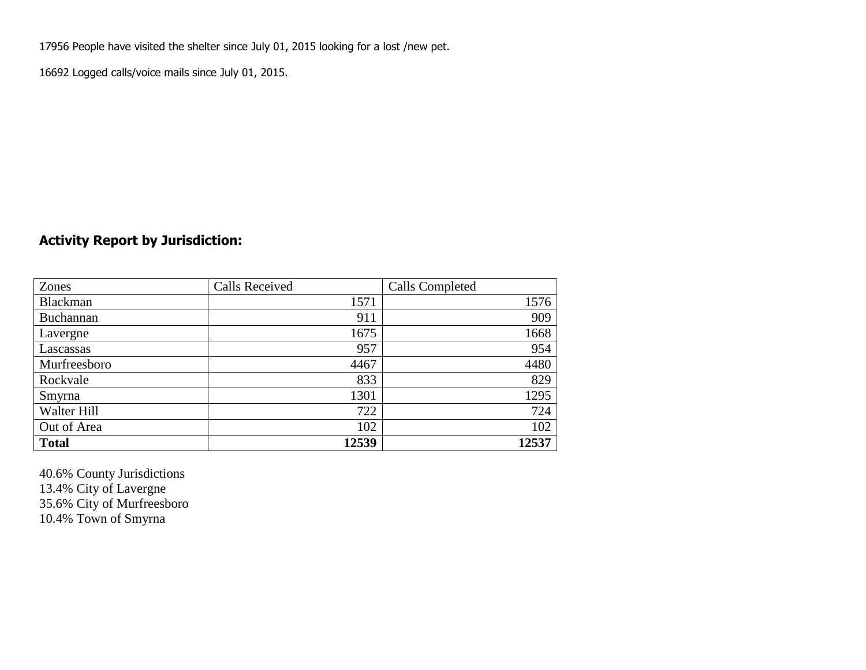17956 People have visited the shelter since July 01, 2015 looking for a lost /new pet.

16692 Logged calls/voice mails since July 01, 2015.

### **Activity Report by Jurisdiction:**

| Zones           | <b>Calls Received</b> | Calls Completed |
|-----------------|-----------------------|-----------------|
| <b>Blackman</b> | 1571                  | 1576            |
| Buchannan       | 911                   | 909             |
| Lavergne        | 1675                  | 1668            |
| Lascassas       | 957                   | 954             |
| Murfreesboro    | 4467                  | 4480            |
| Rockvale        | 833                   | 829             |
| Smyrna          | 1301                  | 1295            |
| Walter Hill     | 722                   | 724             |
| Out of Area     | 102                   | 102             |
| <b>Total</b>    | 12539                 | 12537           |

40.6% County Jurisdictions 13.4% City of Lavergne 35.6% City of Murfreesboro 10.4% Town of Smyrna